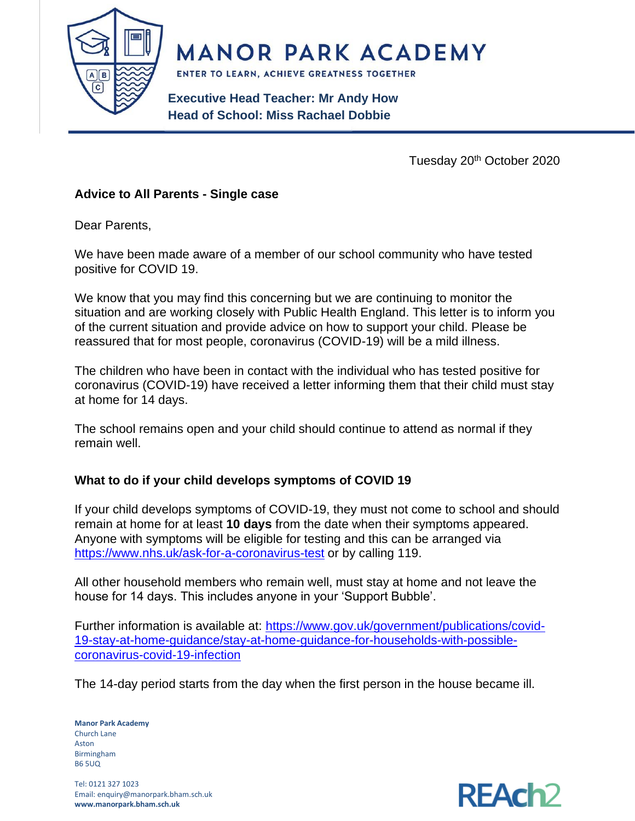

**MANOR PARK ACADEMY** 

ENTER TO LEARN, ACHIEVE GREATNESS TOGETHER

**Executive Head Teacher: Mr Andy How Head of School: Miss Rachael Dobbie**

Tuesday 20<sup>th</sup> October 2020

### **Advice to All Parents - Single case**

Dear Parents,

We have been made aware of a member of our school community who have tested positive for COVID 19.

We know that you may find this concerning but we are continuing to monitor the situation and are working closely with Public Health England. This letter is to inform you of the current situation and provide advice on how to support your child. Please be reassured that for most people, coronavirus (COVID-19) will be a mild illness.

The children who have been in contact with the individual who has tested positive for coronavirus (COVID-19) have received a letter informing them that their child must stay at home for 14 days.

The school remains open and your child should continue to attend as normal if they remain well.

### **What to do if your child develops symptoms of COVID 19**

If your child develops symptoms of COVID-19, they must not come to school and should remain at home for at least **10 days** from the date when their symptoms appeared. Anyone with symptoms will be eligible for testing and this can be arranged via <https://www.nhs.uk/ask-for-a-coronavirus-test> or by calling 119.

All other household members who remain well, must stay at home and not leave the house for 14 days. This includes anyone in your 'Support Bubble'.

Further information is available at: [https://www.gov.uk/government/publications/covid-](https://www.gov.uk/government/publications/covid-19-stay-at-home-guidance/stay-at-home-guidance-for-households-with-possible-coronavirus-covid-19-infection)[19-stay-at-home-guidance/stay-at-home-guidance-for-households-with-possible](https://www.gov.uk/government/publications/covid-19-stay-at-home-guidance/stay-at-home-guidance-for-households-with-possible-coronavirus-covid-19-infection)[coronavirus-covid-19-infection](https://www.gov.uk/government/publications/covid-19-stay-at-home-guidance/stay-at-home-guidance-for-households-with-possible-coronavirus-covid-19-infection)

The 14-day period starts from the day when the first person in the house became ill.

**Manor Park Academy** Church Lane Aston Birmingham B6 5UQ

Tel: 0121 327 1023 Email: enquiry@manorpark.bham.sch.uk **www.manorpark.bham.sch.uk**

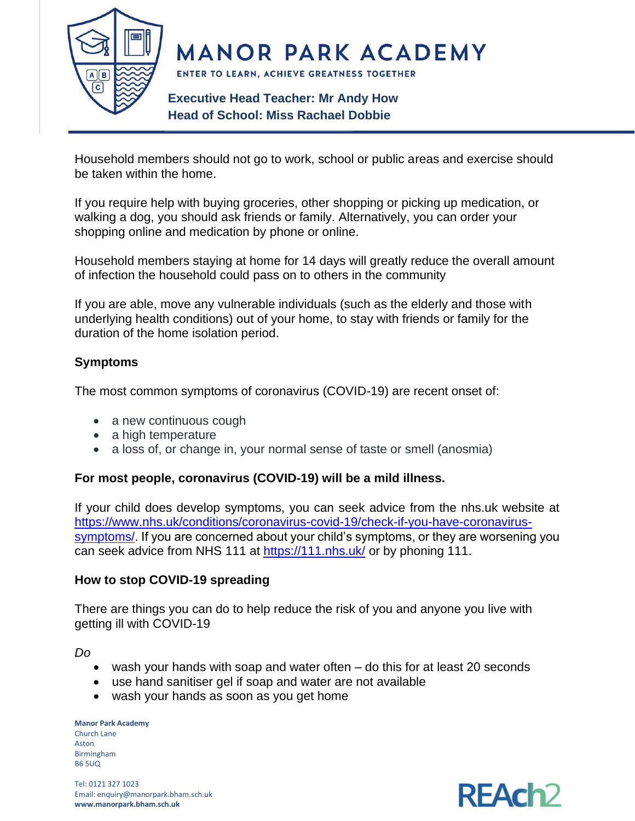

**MANOR PARK ACADEMY** 

ENTER TO LEARN, ACHIEVE GREATNESS TOGETHER

# **Executive Head Teacher: Mr Andy How Head of School: Miss Rachael Dobbie**

Household members should not go to work, school or public areas and exercise should be taken within the home.

If you require help with buying groceries, other shopping or picking up medication, or walking a dog, you should ask friends or family. Alternatively, you can order your shopping online and medication by phone or online.

Household members staying at home for 14 days will greatly reduce the overall amount of infection the household could pass on to others in the community

If you are able, move any vulnerable individuals (such as the elderly and those with underlying health conditions) out of your home, to stay with friends or family for the duration of the home isolation period.

## **Symptoms**

The most common symptoms of coronavirus (COVID-19) are recent onset of:

- a new continuous cough
- a high temperature
- a loss of, or change in, your normal sense of taste or smell (anosmia)

### **For most people, coronavirus (COVID-19) will be a mild illness.**

If your child does develop symptoms, you can seek advice from the nhs.uk website at [https://www.nhs.uk/conditions/coronavirus-covid-19/check-if-you-have-coronavirus](https://www.nhs.uk/conditions/coronavirus-covid-19/check-if-you-have-coronavirus-symptoms/)[symptoms/.](https://www.nhs.uk/conditions/coronavirus-covid-19/check-if-you-have-coronavirus-symptoms/) If you are concerned about your child's symptoms, or they are worsening you can seek advice from NHS 111 at<https://111.nhs.uk/> or by phoning 111.

### **How to stop COVID-19 spreading**

There are things you can do to help reduce the risk of you and anyone you live with getting ill with COVID-19

*Do*

- wash your hands with soap and water often do this for at least 20 seconds
- use hand sanitiser gel if soap and water are not available
- wash your hands as soon as you get home

**Manor Park Academy** Church Lane Aston Birmingham B6 5UQ

Tel: 0121 327 1023 Email: enquiry@manorpark.bham.sch.uk **www.manorpark.bham.sch.uk**